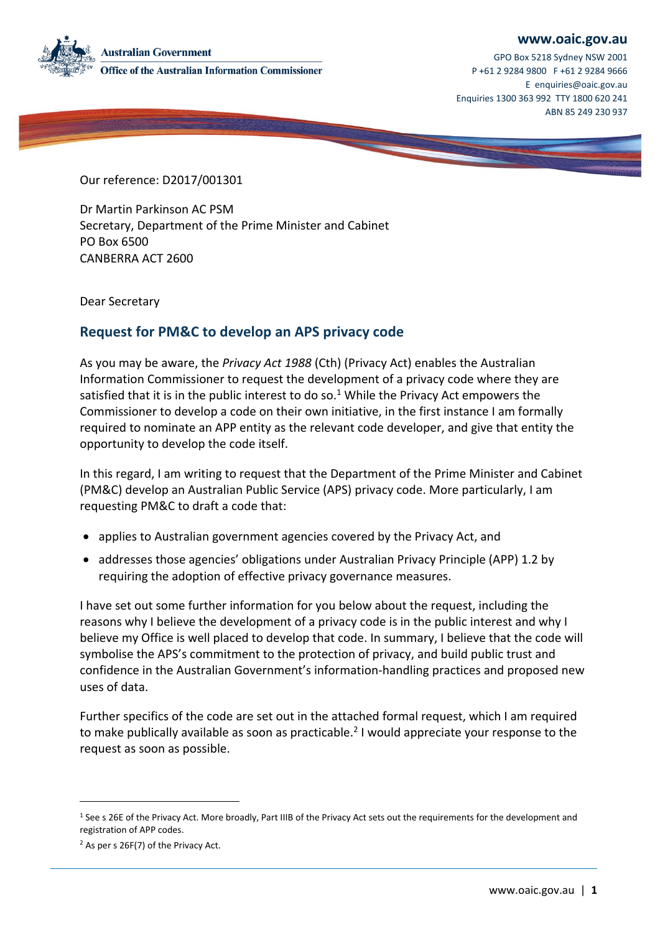#### **[www.oaic.gov.au](https://www.oaic.gov.au/)**



GPO Box 5218 Sydney NSW 2001 P +61 2 9284 9800 F +61 2 9284 9666 E [enquiries@oaic.gov.au](mailto:enquiries@oaic.gov.au) Enquiries 1300 363 992 TTY 1800 620 241 ABN 85 249 230 937

Our reference: D2017/001301

Dr Martin Parkinson AC PSM Secretary, Department of the Prime Minister and Cabinet PO Box 6500 CANBERRA ACT 2600

Dear Secretary

# **Request for PM&C to develop an APS privacy code**

As you may be aware, the *Privacy Act 1988* (Cth) (Privacy Act) enables the Australian Information Commissioner to request the development of a privacy code where they are satisfied that it is in the public interest to do so.<sup>1</sup> While the Privacy Act empowers the Commissioner to develop a code on their own initiative, in the first instance I am formally required to nominate an APP entity as the relevant code developer, and give that entity the opportunity to develop the code itself.

In this regard, I am writing to request that the Department of the Prime Minister and Cabinet (PM&C) develop an Australian Public Service (APS) privacy code. More particularly, I am requesting PM&C to draft a code that:

- applies to Australian government agencies covered by the Privacy Act, and
- addresses those agencies' obligations under Australian Privacy Principle (APP) 1.2 by requiring the adoption of effective privacy governance measures.

I have set out some further information for you below about the request, including the reasons why I believe the development of a privacy code is in the public interest and why I believe my Office is well placed to develop that code. In summary, I believe that the code will symbolise the APS's commitment to the protection of privacy, and build public trust and confidence in the Australian Government's information-handling practices and proposed new uses of data.

Further specifics of the code are set out in the attached formal request, which I am required to make publically available as soon as practicable.<sup>2</sup> I would appreciate your response to the request as soon as possible.

-

<sup>&</sup>lt;sup>1</sup> See s 26E of the Privacy Act. More broadly, Part IIIB of the Privacy Act sets out the requirements for the development and registration of APP codes.

<sup>2</sup> As per s 26F(7) of the Privacy Act.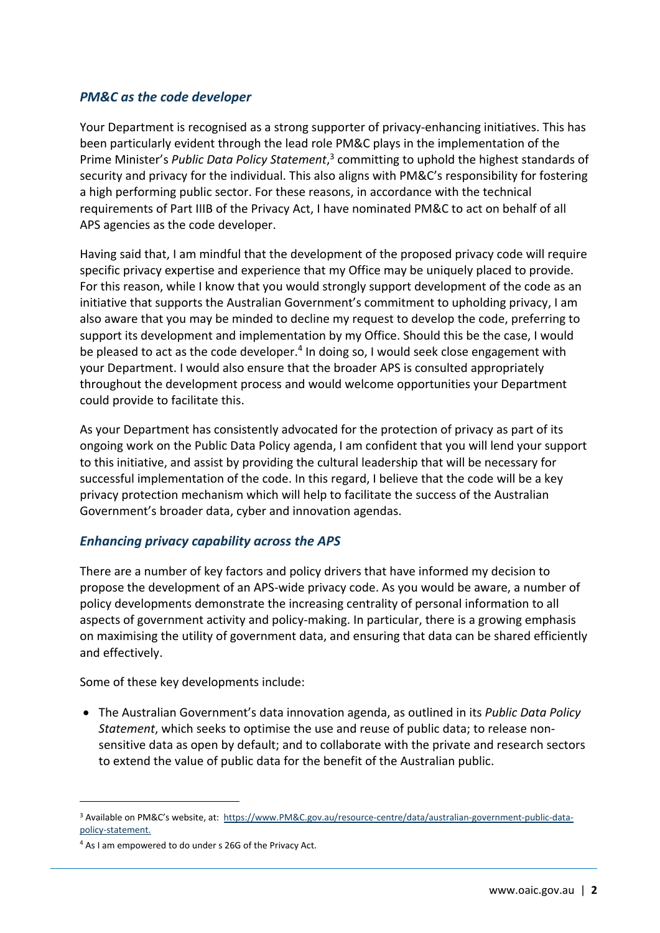#### *PM&C as the code developer*

Your Department is recognised as a strong supporter of privacy-enhancing initiatives. This has been particularly evident through the lead role PM&C plays in the implementation of the Prime Minister's *Public Data Policy Statement*, 3 committing to uphold the highest standards of security and privacy for the individual. This also aligns with PM&C's responsibility for fostering a high performing public sector. For these reasons, in accordance with the technical requirements of Part IIIB of the Privacy Act, I have nominated PM&C to act on behalf of all APS agencies as the code developer.

Having said that, I am mindful that the development of the proposed privacy code will require specific privacy expertise and experience that my Office may be uniquely placed to provide. For this reason, while I know that you would strongly support development of the code as an initiative that supports the Australian Government's commitment to upholding privacy, I am also aware that you may be minded to decline my request to develop the code, preferring to support its development and implementation by my Office. Should this be the case, I would be pleased to act as the code developer.<sup>4</sup> In doing so, I would seek close engagement with your Department. I would also ensure that the broader APS is consulted appropriately throughout the development process and would welcome opportunities your Department could provide to facilitate this.

As your Department has consistently advocated for the protection of privacy as part of its ongoing work on the Public Data Policy agenda, I am confident that you will lend your support to this initiative, and assist by providing the cultural leadership that will be necessary for successful implementation of the code. In this regard, I believe that the code will be a key privacy protection mechanism which will help to facilitate the success of the Australian Government's broader data, cyber and innovation agendas.

## *Enhancing privacy capability across the APS*

There are a number of key factors and policy drivers that have informed my decision to propose the development of an APS-wide privacy code. As you would be aware, a number of policy developments demonstrate the increasing centrality of personal information to all aspects of government activity and policy-making. In particular, there is a growing emphasis on maximising the utility of government data, and ensuring that data can be shared efficiently and effectively.

Some of these key developments include:

 The Australian Government's data innovation agenda, as outlined in its *Public Data Policy Statement*, which seeks to optimise the use and reuse of public data; to release nonsensitive data as open by default; and to collaborate with the private and research sectors to extend the value of public data for the benefit of the Australian public.

-

<sup>&</sup>lt;sup>3</sup> Available on PM&C's website, at: [https://www.PM&C.gov.au/resource-centre/data/australian-government-public-data](https://www.dpmc.gov.au/resource-centre/data/australian-government-public-data-policy-statement)[policy-statement.](https://www.dpmc.gov.au/resource-centre/data/australian-government-public-data-policy-statement)

<sup>4</sup> As I am empowered to do under s 26G of the Privacy Act.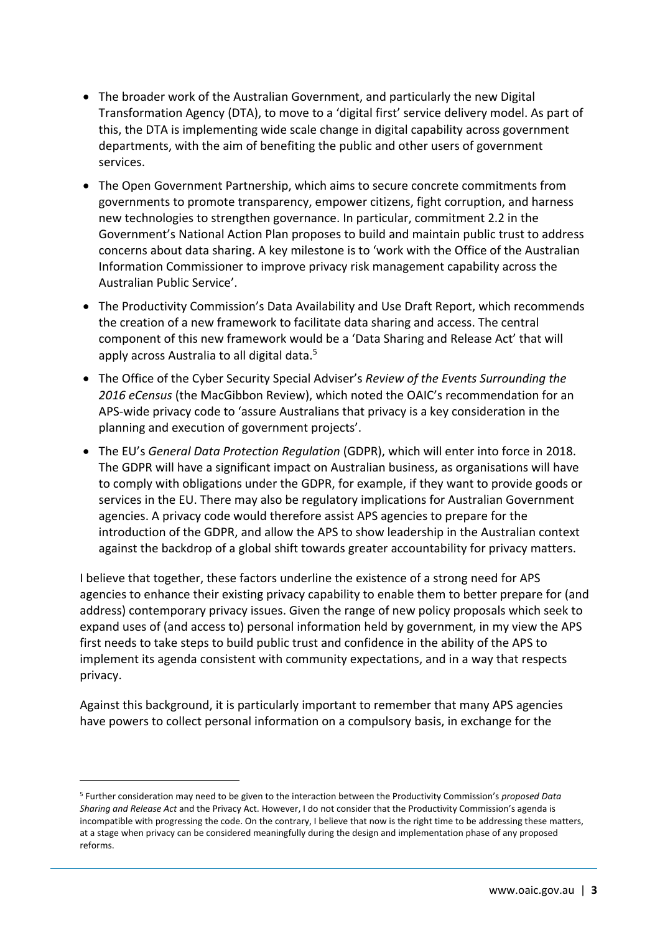- The broader work of the Australian Government, and particularly the new Digital Transformation Agency (DTA), to move to a 'digital first' service delivery model. As part of this, the DTA is implementing wide scale change in digital capability across government departments, with the aim of benefiting the public and other users of government services.
- The Open Government Partnership, which aims to secure concrete commitments from governments to promote transparency, empower citizens, fight corruption, and harness new technologies to strengthen governance. In particular, commitment 2.2 in the Government's National Action Plan proposes to build and maintain public trust to address concerns about data sharing. A key milestone is to 'work with the Office of the Australian Information Commissioner to improve privacy risk management capability across the Australian Public Service'.
- The Productivity Commission's Data Availability and Use Draft Report, which recommends the creation of a new framework to facilitate data sharing and access. The central component of this new framework would be a 'Data Sharing and Release Act' that will apply across Australia to all digital data. 5
- The Office of the Cyber Security Special Adviser's *Review of the Events Surrounding the 2016 eCensus* (the MacGibbon Review), which noted the OAIC's recommendation for an APS-wide privacy code to 'assure Australians that privacy is a key consideration in the planning and execution of government projects'.
- The EU's *General Data Protection Regulation* (GDPR), which will enter into force in 2018. The GDPR will have a significant impact on Australian business, as organisations will have to comply with obligations under the GDPR, for example, if they want to provide goods or services in the EU. There may also be regulatory implications for Australian Government agencies. A privacy code would therefore assist APS agencies to prepare for the introduction of the GDPR, and allow the APS to show leadership in the Australian context against the backdrop of a global shift towards greater accountability for privacy matters.

I believe that together, these factors underline the existence of a strong need for APS agencies to enhance their existing privacy capability to enable them to better prepare for (and address) contemporary privacy issues. Given the range of new policy proposals which seek to expand uses of (and access to) personal information held by government, in my view the APS first needs to take steps to build public trust and confidence in the ability of the APS to implement its agenda consistent with community expectations, and in a way that respects privacy.

Against this background, it is particularly important to remember that many APS agencies have powers to collect personal information on a compulsory basis, in exchange for the

-

<sup>5</sup> Further consideration may need to be given to the interaction between the Productivity Commission's *proposed Data Sharing and Release Act* and the Privacy Act. However, I do not consider that the Productivity Commission's agenda is incompatible with progressing the code. On the contrary, I believe that now is the right time to be addressing these matters, at a stage when privacy can be considered meaningfully during the design and implementation phase of any proposed reforms.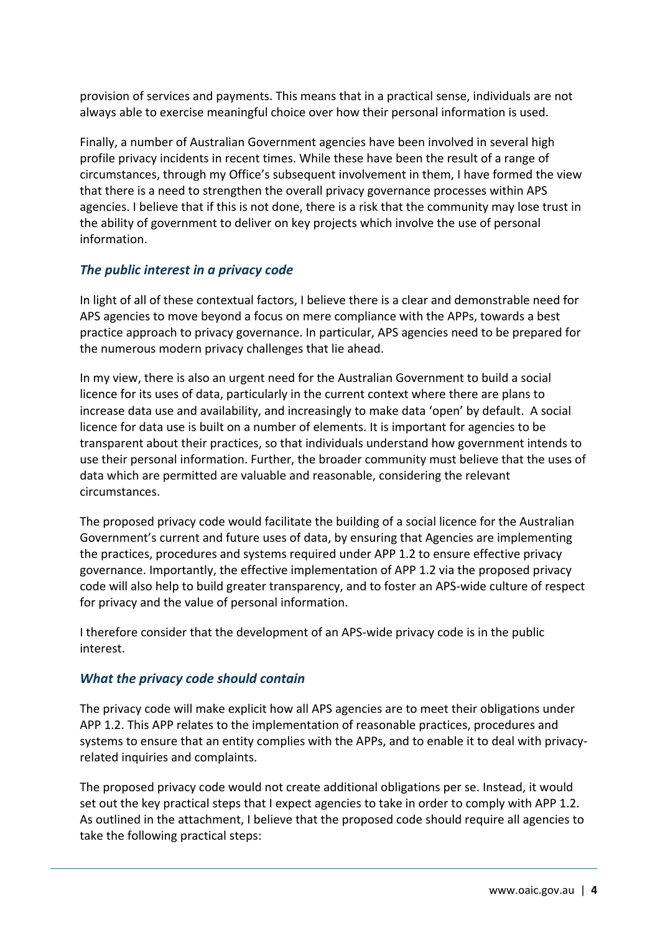provision of services and payments. This means that in a practical sense, individuals are not always able to exercise meaningful choice over how their personal information is used.

Finally, a number of Australian Government agencies have been involved in several high profile privacy incidents in recent times. While these have been the result of a range of circumstances, through my Office's subsequent involvement in them, I have formed the view that there is a need to strengthen the overall privacy governance processes within APS agencies. I believe that if this is not done, there is a risk that the community may lose trust in the ability of government to deliver on key projects which involve the use of personal information.

## *The public interest in a privacy code*

In light of all of these contextual factors, I believe there is a clear and demonstrable need for APS agencies to move beyond a focus on mere compliance with the APPs, towards a best practice approach to privacy governance. In particular, APS agencies need to be prepared for the numerous modern privacy challenges that lie ahead.

In my view, there is also an urgent need for the Australian Government to build a social licence for its uses of data, particularly in the current context where there are plans to increase data use and availability, and increasingly to make data 'open' by default. A social licence for data use is built on a number of elements. It is important for agencies to be transparent about their practices, so that individuals understand how government intends to use their personal information. Further, the broader community must believe that the uses of data which are permitted are valuable and reasonable, considering the relevant circumstances.

The proposed privacy code would facilitate the building of a social licence for the Australian Government's current and future uses of data, by ensuring that Agencies are implementing the practices, procedures and systems required under APP 1.2 to ensure effective privacy governance. Importantly, the effective implementation of APP 1.2 via the proposed privacy code will also help to build greater transparency, and to foster an APS-wide culture of respect for privacy and the value of personal information.

I therefore consider that the development of an APS-wide privacy code is in the public interest.

#### *What the privacy code should contain*

The privacy code will make explicit how all APS agencies are to meet their obligations under APP 1.2. This APP relates to the implementation of reasonable practices, procedures and systems to ensure that an entity complies with the APPs, and to enable it to deal with privacyrelated inquiries and complaints.

The proposed privacy code would not create additional obligations per se. Instead, it would set out the key practical steps that I expect agencies to take in order to comply with APP 1.2. As outlined in the attachment, I believe that the proposed code should require all agencies to take the following practical steps: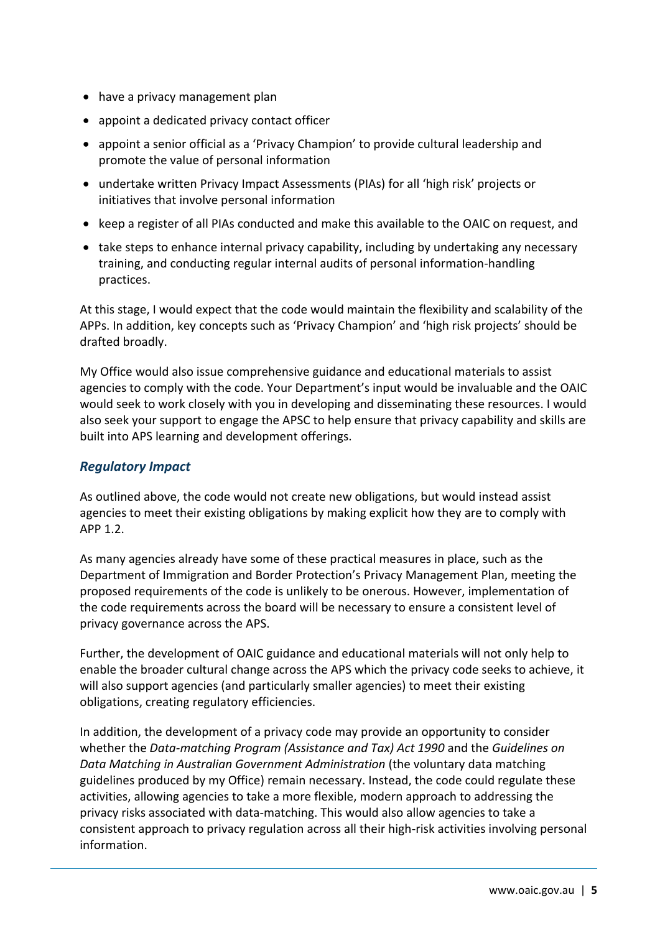- have a privacy management plan
- appoint a dedicated privacy contact officer
- appoint a senior official as a 'Privacy Champion' to provide cultural leadership and promote the value of personal information
- undertake written Privacy Impact Assessments (PIAs) for all 'high risk' projects or initiatives that involve personal information
- keep a register of all PIAs conducted and make this available to the OAIC on request, and
- take steps to enhance internal privacy capability, including by undertaking any necessary training, and conducting regular internal audits of personal information-handling practices.

At this stage, I would expect that the code would maintain the flexibility and scalability of the APPs. In addition, key concepts such as 'Privacy Champion' and 'high risk projects' should be drafted broadly.

My Office would also issue comprehensive guidance and educational materials to assist agencies to comply with the code. Your Department's input would be invaluable and the OAIC would seek to work closely with you in developing and disseminating these resources. I would also seek your support to engage the APSC to help ensure that privacy capability and skills are built into APS learning and development offerings.

# *Regulatory Impact*

As outlined above, the code would not create new obligations, but would instead assist agencies to meet their existing obligations by making explicit how they are to comply with APP 1.2.

As many agencies already have some of these practical measures in place, such as the Department of Immigration and Border Protection's Privacy Management Plan, meeting the proposed requirements of the code is unlikely to be onerous. However, implementation of the code requirements across the board will be necessary to ensure a consistent level of privacy governance across the APS.

Further, the development of OAIC guidance and educational materials will not only help to enable the broader cultural change across the APS which the privacy code seeks to achieve, it will also support agencies (and particularly smaller agencies) to meet their existing obligations, creating regulatory efficiencies.

In addition, the development of a privacy code may provide an opportunity to consider whether the *Data-matching Program (Assistance and Tax) Act 1990* and the *Guidelines on Data Matching in Australian Government Administration* (the voluntary data matching guidelines produced by my Office) remain necessary. Instead, the code could regulate these activities, allowing agencies to take a more flexible, modern approach to addressing the privacy risks associated with data-matching. This would also allow agencies to take a consistent approach to privacy regulation across all their high-risk activities involving personal information.